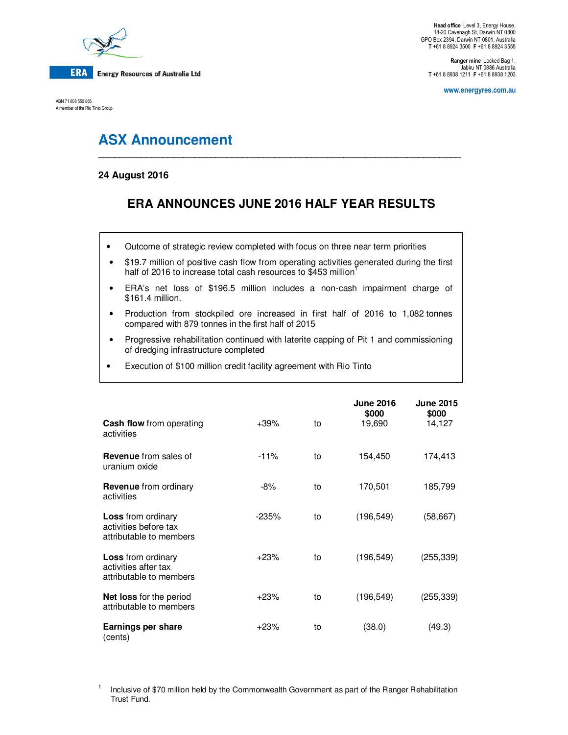

ABN 71 008 550 865 A member of the Rio Tinto Group

**Ranger mine** Locked Bag 1, Jabiru NT 0886 Australia **T** +61 8 8938 1211 **F** +61 8 8938 1203

**www.energyres.com.au** 

# **ASX Announcement**

### **24 August 2016**

## **ERA ANNOUNCES JUNE 2016 HALF YEAR RESULTS**

**\_\_\_\_\_\_\_\_\_\_\_\_\_\_\_\_\_\_\_\_\_\_\_\_\_\_\_\_\_\_\_\_\_\_\_\_\_\_\_\_\_\_\_\_\_\_\_\_\_\_\_\_\_\_\_\_\_\_\_\_\_\_\_\_\_\_\_\_** 

- Outcome of strategic review completed with focus on three near term priorities
- \$19.7 million of positive cash flow from operating activities generated during the first half of 2016 to increase total cash resources to \$453 million<sup>1</sup>
- ERA's net loss of \$196.5 million includes a non-cash impairment charge of \$161.4 million.
- Production from stockpiled ore increased in first half of 2016 to 1,082 tonnes compared with 879 tonnes in the first half of 2015
- Progressive rehabilitation continued with laterite capping of Pit 1 and commissioning of dredging infrastructure completed
- Execution of \$100 million credit facility agreement with Rio Tinto

|                                                                               |         |    | <b>June 2016</b><br>\$000 | <b>June 2015</b><br>\$000 |
|-------------------------------------------------------------------------------|---------|----|---------------------------|---------------------------|
| <b>Cash flow</b> from operating<br>activities                                 | $+39\%$ | to | 19,690                    | 14,127                    |
| <b>Revenue</b> from sales of<br>uranium oxide                                 | $-11%$  | to | 154,450                   | 174,413                   |
| <b>Revenue</b> from ordinary<br>activities                                    | -8%     | to | 170,501                   | 185,799                   |
| <b>Loss</b> from ordinary<br>activities before tax<br>attributable to members | $-235%$ | to | (196, 549)                | (58,667)                  |
| <b>Loss</b> from ordinary<br>activities after tax<br>attributable to members  | $+23%$  | to | (196, 549)                | (255, 339)                |
| <b>Net loss</b> for the period<br>attributable to members                     | $+23%$  | to | (196, 549)                | (255, 339)                |
| <b>Earnings per share</b><br>(cents)                                          | $+23%$  | to | (38.0)                    | (49.3)                    |

1 Inclusive of \$70 million held by the Commonwealth Government as part of the Ranger Rehabilitation Trust Fund.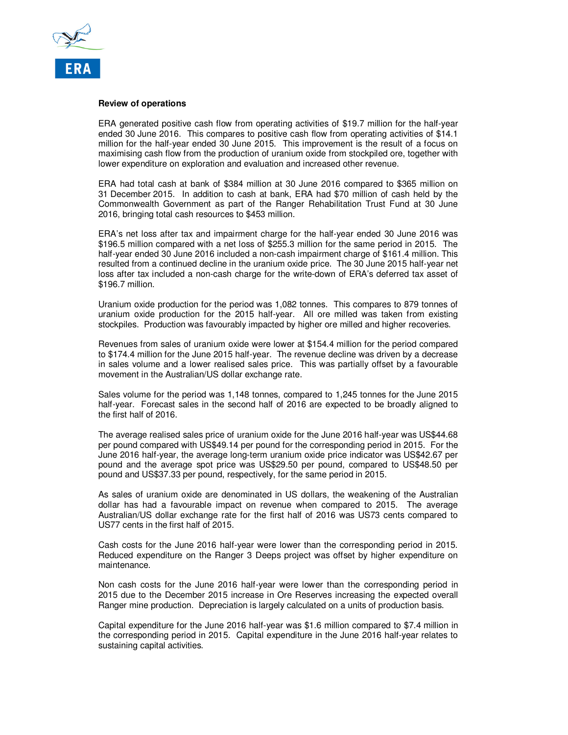

#### **Review of operations**

ERA generated positive cash flow from operating activities of \$19.7 million for the half-year ended 30 June 2016. This compares to positive cash flow from operating activities of \$14.1 million for the half-year ended 30 June 2015. This improvement is the result of a focus on maximising cash flow from the production of uranium oxide from stockpiled ore, together with lower expenditure on exploration and evaluation and increased other revenue.

ERA had total cash at bank of \$384 million at 30 June 2016 compared to \$365 million on 31 December 2015. In addition to cash at bank, ERA had \$70 million of cash held by the Commonwealth Government as part of the Ranger Rehabilitation Trust Fund at 30 June 2016, bringing total cash resources to \$453 million.

ERA's net loss after tax and impairment charge for the half-year ended 30 June 2016 was \$196.5 million compared with a net loss of \$255.3 million for the same period in 2015. The half-year ended 30 June 2016 included a non-cash impairment charge of \$161.4 million. This resulted from a continued decline in the uranium oxide price. The 30 June 2015 half-year net loss after tax included a non-cash charge for the write-down of ERA's deferred tax asset of \$196.7 million.

Uranium oxide production for the period was 1,082 tonnes. This compares to 879 tonnes of uranium oxide production for the 2015 half-year. All ore milled was taken from existing stockpiles. Production was favourably impacted by higher ore milled and higher recoveries.

Revenues from sales of uranium oxide were lower at \$154.4 million for the period compared to \$174.4 million for the June 2015 half-year. The revenue decline was driven by a decrease in sales volume and a lower realised sales price. This was partially offset by a favourable movement in the Australian/US dollar exchange rate.

Sales volume for the period was 1,148 tonnes, compared to 1,245 tonnes for the June 2015 half-year. Forecast sales in the second half of 2016 are expected to be broadly aligned to the first half of 2016.

The average realised sales price of uranium oxide for the June 2016 half-year was US\$44.68 per pound compared with US\$49.14 per pound for the corresponding period in 2015. For the June 2016 half-year, the average long-term uranium oxide price indicator was US\$42.67 per pound and the average spot price was US\$29.50 per pound, compared to US\$48.50 per pound and US\$37.33 per pound, respectively, for the same period in 2015.

As sales of uranium oxide are denominated in US dollars, the weakening of the Australian dollar has had a favourable impact on revenue when compared to 2015. The average Australian/US dollar exchange rate for the first half of 2016 was US73 cents compared to US77 cents in the first half of 2015.

Cash costs for the June 2016 half-year were lower than the corresponding period in 2015. Reduced expenditure on the Ranger 3 Deeps project was offset by higher expenditure on maintenance.

Non cash costs for the June 2016 half-year were lower than the corresponding period in 2015 due to the December 2015 increase in Ore Reserves increasing the expected overall Ranger mine production. Depreciation is largely calculated on a units of production basis.

Capital expenditure for the June 2016 half-year was \$1.6 million compared to \$7.4 million in the corresponding period in 2015. Capital expenditure in the June 2016 half-year relates to sustaining capital activities.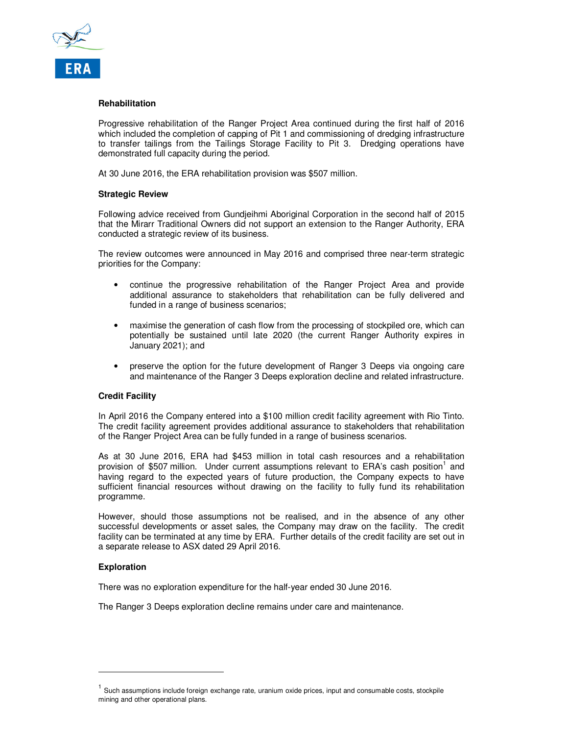

#### **Rehabilitation**

Progressive rehabilitation of the Ranger Project Area continued during the first half of 2016 which included the completion of capping of Pit 1 and commissioning of dredging infrastructure to transfer tailings from the Tailings Storage Facility to Pit 3. Dredging operations have demonstrated full capacity during the period.

At 30 June 2016, the ERA rehabilitation provision was \$507 million.

#### **Strategic Review**

Following advice received from Gundjeihmi Aboriginal Corporation in the second half of 2015 that the Mirarr Traditional Owners did not support an extension to the Ranger Authority, ERA conducted a strategic review of its business.

The review outcomes were announced in May 2016 and comprised three near-term strategic priorities for the Company:

- continue the progressive rehabilitation of the Ranger Project Area and provide additional assurance to stakeholders that rehabilitation can be fully delivered and funded in a range of business scenarios;
- maximise the generation of cash flow from the processing of stockpiled ore, which can potentially be sustained until late 2020 (the current Ranger Authority expires in January 2021); and
- preserve the option for the future development of Ranger 3 Deeps via ongoing care and maintenance of the Ranger 3 Deeps exploration decline and related infrastructure.

#### **Credit Facility**

In April 2016 the Company entered into a \$100 million credit facility agreement with Rio Tinto. The credit facility agreement provides additional assurance to stakeholders that rehabilitation of the Ranger Project Area can be fully funded in a range of business scenarios.

As at 30 June 2016, ERA had \$453 million in total cash resources and a rehabilitation provision of \$507 million. Under current assumptions relevant to ERA's cash position<sup>1</sup> and having regard to the expected years of future production, the Company expects to have sufficient financial resources without drawing on the facility to fully fund its rehabilitation programme.

However, should those assumptions not be realised, and in the absence of any other successful developments or asset sales, the Company may draw on the facility. The credit facility can be terminated at any time by ERA. Further details of the credit facility are set out in a separate release to ASX dated 29 April 2016.

#### **Exploration**

 $\overline{a}$ 

There was no exploration expenditure for the half-year ended 30 June 2016.

The Ranger 3 Deeps exploration decline remains under care and maintenance.

<sup>&</sup>lt;sup>1</sup> Such assumptions include foreign exchange rate, uranium oxide prices, input and consumable costs, stockpile mining and other operational plans.